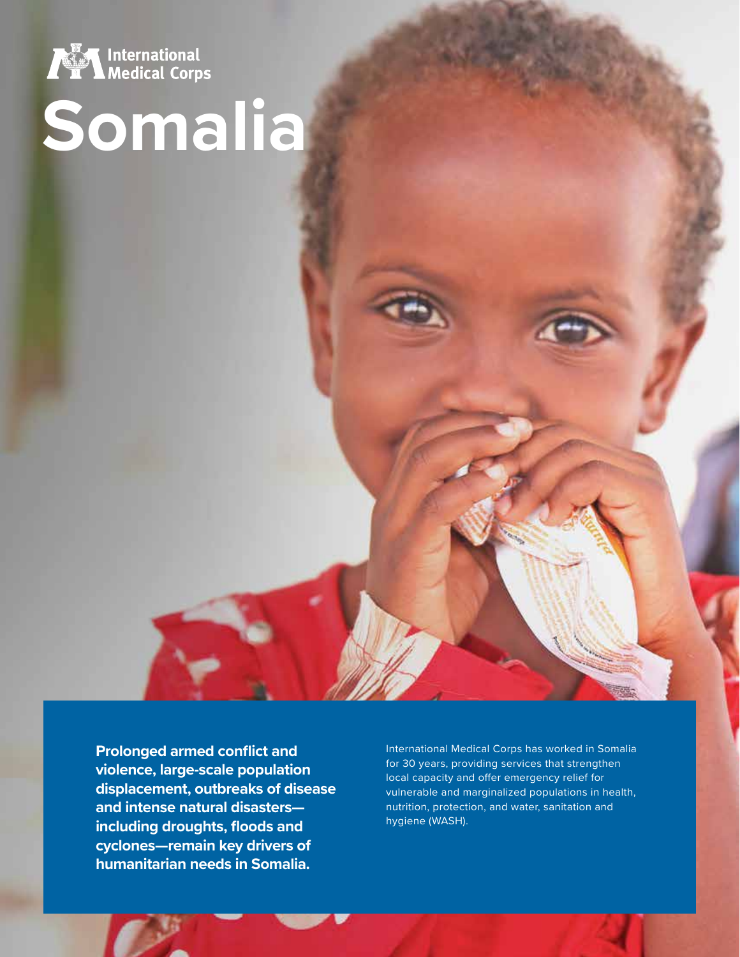

# **Somalia**

**Prolonged armed conflict and violence, large-scale population displacement, outbreaks of disease and intense natural disasters including droughts, floods and cyclones—remain key drivers of humanitarian needs in Somalia.** 

International Medical Corps has worked in Somalia for 30 years, providing services that strengthen local capacity and offer emergency relief for vulnerable and marginalized populations in health, nutrition, protection, and water, sanitation and hygiene (WASH).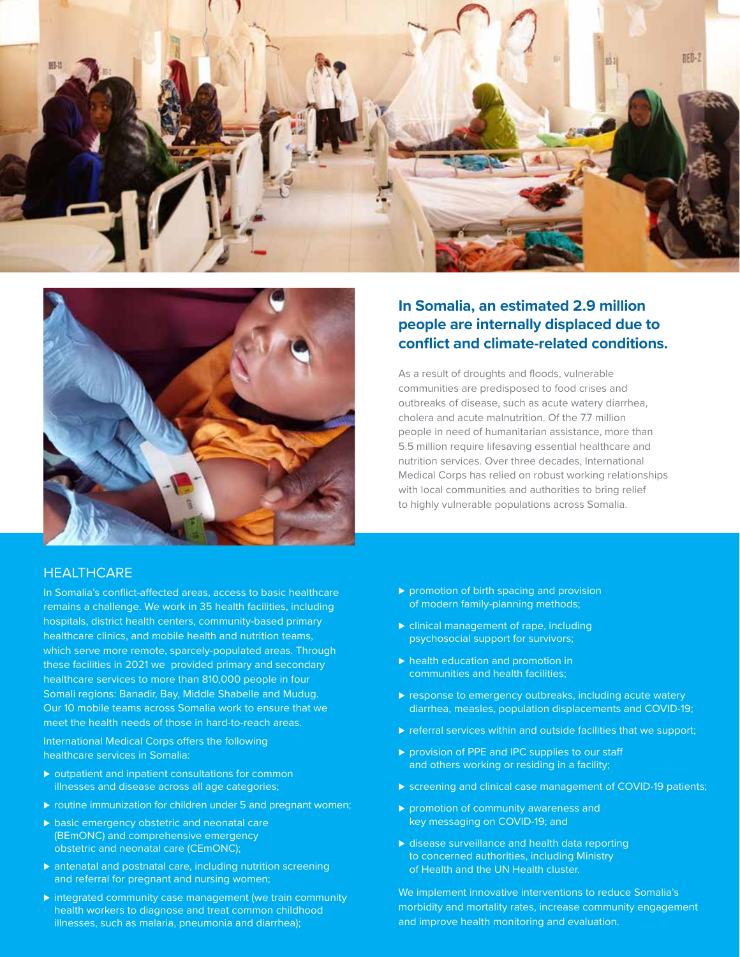



## **people are internally displaced due to conflict and climate-related conditions.**

**In Somalia, an estimated 2.9 million** 

As a result of droughts and floods, vulnerable communities are predisposed to food crises and outbreaks of disease, such as acute watery diarrhea, cholera and acute malnutrition. Of the 7.7 million people in need of humanitarian assistance, more than 5.5 million require lifesaving essential healthcare and nutrition services. Over three decades, International Medical Corps has relied on robust working relationships with local communities and authorities to bring relief to highly vulnerable populations across Somalia.

### **HEALTHCARE**

In Somalia's conflict-affected areas, access to basic healthcare remains a challenge. We work in 35 health facilities, including hospitals, district health centers, community-based primary healthcare clinics, and mobile health and nutrition teams, which serve more remote, sparcely-populated areas. Through these facilities in 2021 we provided primary and secondary healthcare services to more than 810,000 people in four Somali regions: Banadir, Bay, Middle Shabelle and Mudug. Our 10 mobile teams across Somalia work to ensure that we meet the health needs of those in hard-to-reach areas.

International Medical Corps offers the following healthcare services in Somalia:

- ▶ outpatient and inpatient consultations for common illnesses and disease across all age categories;
- ▶ routine immunization for children under 5 and pregnant women;
- ▶ basic emergency obstetric and neonatal care (BEmONC) and comprehensive emergency obstetric and neonatal care (CEmONC);
- ▶ antenatal and postnatal care, including nutrition screening and referral for pregnant and nursing women;
- ► integrated community case management (we train community health workers to diagnose and treat common childhood illnesses, such as malaria, pneumonia and diarrhea);
- ▶ promotion of birth spacing and provision of modern family-planning methods;
- ► clinical management of rape, including psychosocial support for survivors;
- ► health education and promotion in communities and health facilities;
- ▶ response to emergency outbreaks, including acute watery diarrhea, measles, population displacements and COVID-19;
- ▶ referral services within and outside facilities that we support;
- ▶ provision of PPE and IPC supplies to our staff and others working or residing in a facility;
- ► screening and clinical case management of COVID-19 patients;
- ▶ promotion of community awareness and key messaging on COVID-19; and
- ▶ disease surveillance and health data reporting to concerned authorities, including Ministry of Health and the UN Health cluster.

We implement innovative interventions to reduce Somalia's morbidity and mortality rates, increase community engagement and improve health monitoring and evaluation.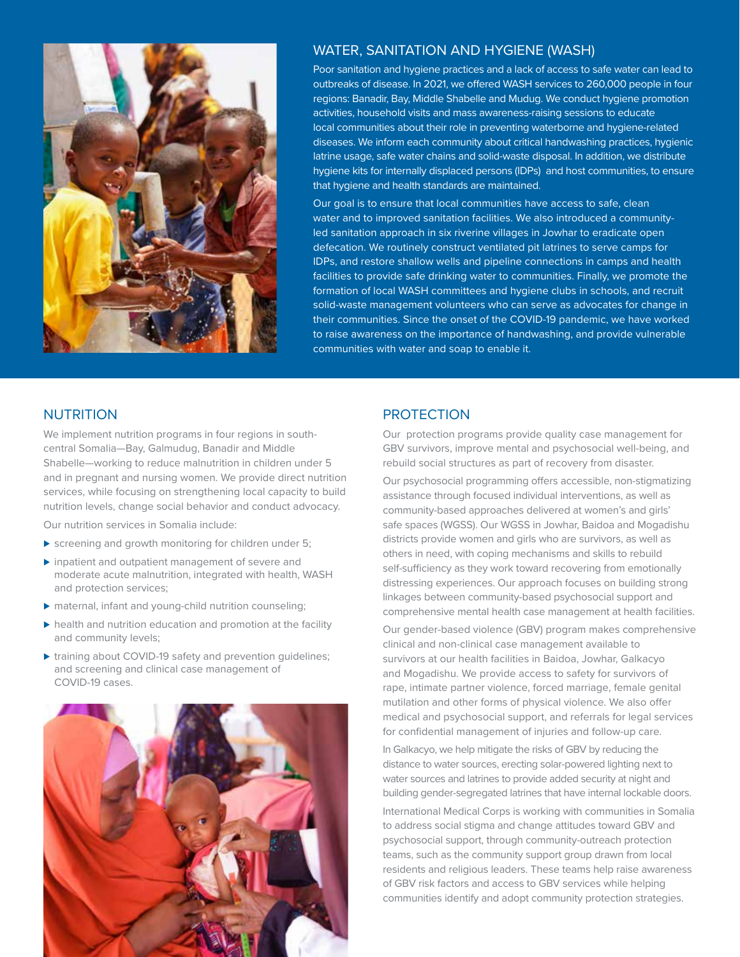

#### WATER, SANITATION AND HYGIENE (WASH)

Poor sanitation and hygiene practices and a lack of access to safe water can lead to outbreaks of disease. In 2021, we offered WASH services to 260,000 people in four regions: Banadir, Bay, Middle Shabelle and Mudug. We conduct hygiene promotion activities, household visits and mass awareness-raising sessions to educate local communities about their role in preventing waterborne and hygiene-related diseases. We inform each community about critical handwashing practices, hygienic latrine usage, safe water chains and solid-waste disposal. In addition, we distribute hygiene kits for internally displaced persons (IDPs) and host communities, to ensure that hygiene and health standards are maintained.

Our goal is to ensure that local communities have access to safe, clean water and to improved sanitation facilities. We also introduced a communityled sanitation approach in six riverine villages in Jowhar to eradicate open defecation. We routinely construct ventilated pit latrines to serve camps for IDPs, and restore shallow wells and pipeline connections in camps and health facilities to provide safe drinking water to communities. Finally, we promote the formation of local WASH committees and hygiene clubs in schools, and recruit solid-waste management volunteers who can serve as advocates for change in their communities. Since the onset of the COVID-19 pandemic, we have worked to raise awareness on the importance of handwashing, and provide vulnerable communities with water and soap to enable it.

#### NUTRITION

We implement nutrition programs in four regions in southcentral Somalia—Bay, Galmudug, Banadir and Middle Shabelle—working to reduce malnutrition in children under 5 and in pregnant and nursing women. We provide direct nutrition services, while focusing on strengthening local capacity to build nutrition levels, change social behavior and conduct advocacy.

Our nutrition services in Somalia include:

- ► screening and growth monitoring for children under 5;
- ▶ inpatient and outpatient management of severe and moderate acute malnutrition, integrated with health, WASH and protection services;
- ▶ maternal, infant and young-child nutrition counseling;
- ▶ health and nutrition education and promotion at the facility and community levels;
- ▶ training about COVID-19 safety and prevention guidelines; and screening and clinical case management of COVID-19 cases.



#### **PROTECTION**

Our protection programs provide quality case management for GBV survivors, improve mental and psychosocial well-being, and rebuild social structures as part of recovery from disaster.

Our psychosocial programming offers accessible, non-stigmatizing assistance through focused individual interventions, as well as community-based approaches delivered at women's and girls' safe spaces (WGSS). Our WGSS in Jowhar, Baidoa and Mogadishu districts provide women and girls who are survivors, as well as others in need, with coping mechanisms and skills to rebuild self-sufficiency as they work toward recovering from emotionally distressing experiences. Our approach focuses on building strong linkages between community-based psychosocial support and comprehensive mental health case management at health facilities.

Our gender-based violence (GBV) program makes comprehensive clinical and non-clinical case management available to survivors at our health facilities in Baidoa, Jowhar, Galkacyo and Mogadishu. We provide access to safety for survivors of rape, intimate partner violence, forced marriage, female genital mutilation and other forms of physical violence. We also offer medical and psychosocial support, and referrals for legal services for confidential management of injuries and follow-up care.

In Galkacyo, we help mitigate the risks of GBV by reducing the distance to water sources, erecting solar-powered lighting next to water sources and latrines to provide added security at night and building gender-segregated latrines that have internal lockable doors.

International Medical Corps is working with communities in Somalia to address social stigma and change attitudes toward GBV and psychosocial support, through community-outreach protection teams, such as the community support group drawn from local residents and religious leaders. These teams help raise awareness of GBV risk factors and access to GBV services while helping communities identify and adopt community protection strategies.